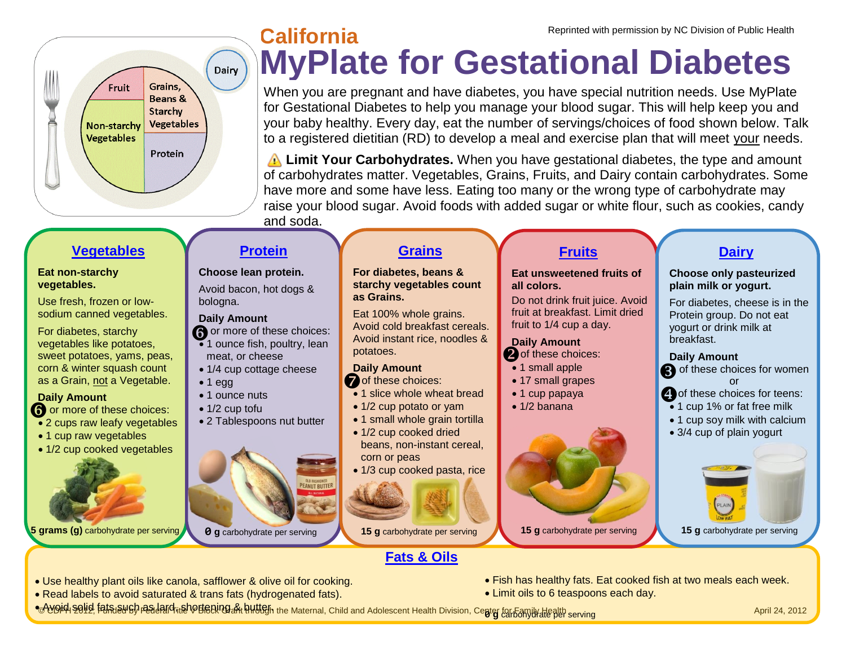

# **MyPlate for Gestational Diabetes California** Reprinted with permission by NC Division of Public Health

When you are pregnant and have diabetes, you have special nutrition needs. Use MyPlate for Gestational Diabetes to help you manage your blood sugar. This will help keep you and your baby healthy. Every day, eat the number of servings/choices of food shown below. Talk to a registered dietitian (RD) to develop a meal and exercise plan that will meet your needs.

 **Limit Your Carbohydrates.** When you have gestational diabetes, the type and amount of carbohydrates matter. Vegetables, Grains, Fruits, and Dairy contain carbohydrates. Some have more and some have less. Eating too many or the wrong type of carbohydrate may raise your blood sugar. Avoid foods with added sugar or white flour, such as cookies, candy and soda.

# **[Vegetables](http://www.choosemyplate.gov/food-groups/vegetables.html)**

#### **Eat non-starchy vegetables.**

Use fresh, frozen or lowsodium canned vegetables.

For diabetes, starchy vegetables like potatoes, sweet potatoes, yams, peas, corn & winter squash count as a Grain, not a Vegetable.

#### **Daily Amount**

 $\bigcirc$  or more of these choices:

- 2 cups raw leafy vegetables
- 1 cup raw vegetables
- 1/2 cup cooked vegetables

# **[Protein](http://www.choosemyplate.gov/food-groups/protein-foods.html)**





- 1/4 cup cottage cheese
- $\bullet$  1 egg
- 1 ounce nuts
- 1/2 cup tofu
- 2 Tablespoons nut butter



**5 grams (g)** carbohydrate per serving **0 g** carbohydrate per serving **15 g** carbohydrate per serving **15 g** carbohydrate per serving



# **[Grains](http://www.choosemyplate.gov/food-groups/grains.html)**

**For diabetes, beans & starchy vegetables count as Grains.**

Eat 100% whole grains. Avoid cold breakfast cereals., Avoid instant rice, noodles & potatoes.

#### **Daily Amount**

- $\sum_{n=1}^{\infty}$  of these choices:
- 1 slice whole wheat bread
- 1/2 cup potato or yam
- 1 small whole grain tortilla

• 1/2 cup cooked dried beans, non-instant cereal, corn or peas

• 1/3 cup cooked pasta, rice



# **[Fats & Oils](http://www.choosemyplate.gov/food-groups/oils.html)**

# **[Fruits](http://www.choosemyplate.gov/food-groups/fruits.html)**

#### **Eat unsweetened fruits of all colors.**

Do not drink fruit juice. Avoid fruit at breakfast. Limit dried fruit to 1/4 cup a day.

### **Daily Amount**

- Of these choices:
- 1 small apple
- 17 small grapes
- 1 cup papaya
- 1/2 banana



## **[Dairy](http://www.choosemyplate.gov/food-groups/dairy.html)**

**Choose only pasteurized plain milk or yogurt.**

For diabetes, cheese is in the Protein group. Do not eat yogurt or drink milk at breakfast.

#### **Daily Amount**

- **3** of these choices for women or
- $\bigodot$  of these choices for teens:
- 1 cup 1% or fat free milk
- 1 cup soy milk with calcium
- 3/4 cup of plain yogurt



**15 g** carbohydrate per serving

- 
- Read labels to avoid saturated & trans fats (hydrogenated fats).
- Use healthy plant oils like canola, safflower & olive oil for cooking.  Fish has healthy fats. Eat cooked fish at two meals each week.
	- Limit oils to 6 teaspoons each day.

<del>●⊙W9i</del>4l s9li9 fals aw6h readaind itah©Bening & hutten the Maternal, Child and Adolescent Health Division, Cepter far 5amily death serving and the serving April 24, 2012